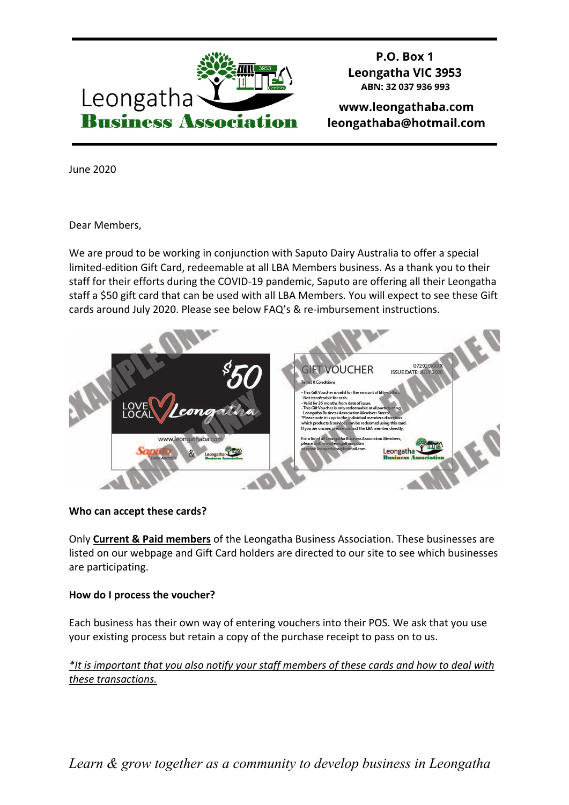

**P.O. Box 1 Leongatha VIC 3953** ABN: 32 037 936 993

www.leongathaba.com leongathaba@hotmail.com

June 2020

Dear Members,

We are proud to be working in conjunction with Saputo Dairy Australia to offer a special limited-edition Gift Card, redeemable at all LBA Members business. As a thank you to their staff for their efforts during the COVID-19 pandemic, Saputo are offering all their Leongatha staff a \$50 gift card that can be used with all LBA Members. You will expect to see these Gift cards around July 2020. Please see below FAQ's & re-imbursement instructions.



### **Who can accept these cards?**

Only **Current & Paid members** of the Leongatha Business Association. These businesses are listed on our webpage and Gift Card holders are directed to our site to see which businesses are participating.

# **How do I process the voucher?**

Each business has their own way of entering vouchers into their POS. We ask that you use your existing process but retain a copy of the purchase receipt to pass on to us.

*\*It is important that you also notify your staff members of these cards and how to deal with these transactions.*

*Learn & grow together as a community to develop business in Leongatha*